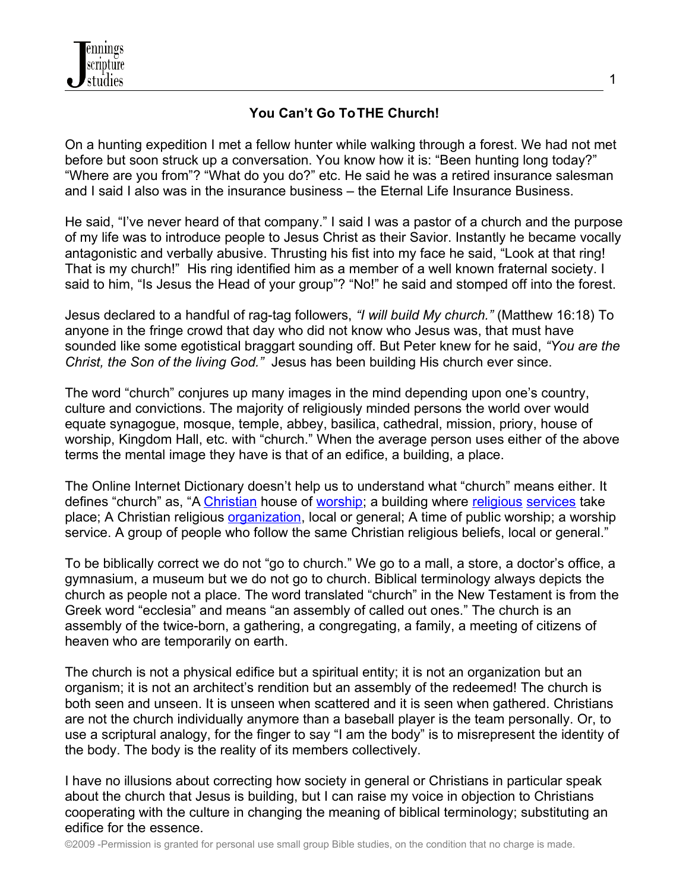

## **You Can't Go ToTHE Church!**

On a hunting expedition I met a fellow hunter while walking through a forest. We had not met before but soon struck up a conversation. You know how it is: "Been hunting long today?" "Where are you from"? "What do you do?" etc. He said he was a retired insurance salesman and I said I also was in the insurance business – the Eternal Life Insurance Business.

He said, "I've never heard of that company." I said I was a pastor of a church and the purpose of my life was to introduce people to Jesus Christ as their Savior. Instantly he became vocally antagonistic and verbally abusive. Thrusting his fist into my face he said, "Look at that ring! That is my church!" His ring identified him as a member of a well known fraternal society. I said to him, "Is Jesus the Head of your group"? "No!" he said and stomped off into the forest.

Jesus declared to a handful of rag-tag followers, *"I will build My church."* (Matthew 16:18) To anyone in the fringe crowd that day who did not know who Jesus was, that must have sounded like some egotistical braggart sounding off. But Peter knew for he said, *"You are the Christ, the Son of the living God."* Jesus has been building His church ever since.

The word "church" conjures up many images in the mind depending upon one's country, culture and convictions. The majority of religiously minded persons the world over would equate synagogue, mosque, temple, abbey, basilica, cathedral, mission, priory, house of worship, Kingdom Hall, etc. with "church." When the average person uses either of the above terms the mental image they have is that of an edifice, a building, a place.

The Online Internet Dictionary doesn't help us to understand what "church" means either. It defines "church" as, "A [Christian](http://en.wiktionary.org/wiki/Christian) house of [worship;](http://en.wiktionary.org/wiki/worship) a building where [religious](http://en.wiktionary.org/wiki/religious) [services](http://en.wiktionary.org/wiki/service) take place; A Christian religious *organization*, local or general; A time of public worship; a worship service. A group of people who follow the same Christian religious beliefs, local or general."

To be biblically correct we do not "go to church." We go to a mall, a store, a doctor's office, a gymnasium, a museum but we do not go to church. Biblical terminology always depicts the church as people not a place. The word translated "church" in the New Testament is from the Greek word "ecclesia" and means "an assembly of called out ones." The church is an assembly of the twice-born, a gathering, a congregating, a family, a meeting of citizens of heaven who are temporarily on earth.

The church is not a physical edifice but a spiritual entity; it is not an organization but an organism; it is not an architect's rendition but an assembly of the redeemed! The church is both seen and unseen. It is unseen when scattered and it is seen when gathered. Christians are not the church individually anymore than a baseball player is the team personally. Or, to use a scriptural analogy, for the finger to say "I am the body" is to misrepresent the identity of the body. The body is the reality of its members collectively.

I have no illusions about correcting how society in general or Christians in particular speak about the church that Jesus is building, but I can raise my voice in objection to Christians cooperating with the culture in changing the meaning of biblical terminology; substituting an edifice for the essence.